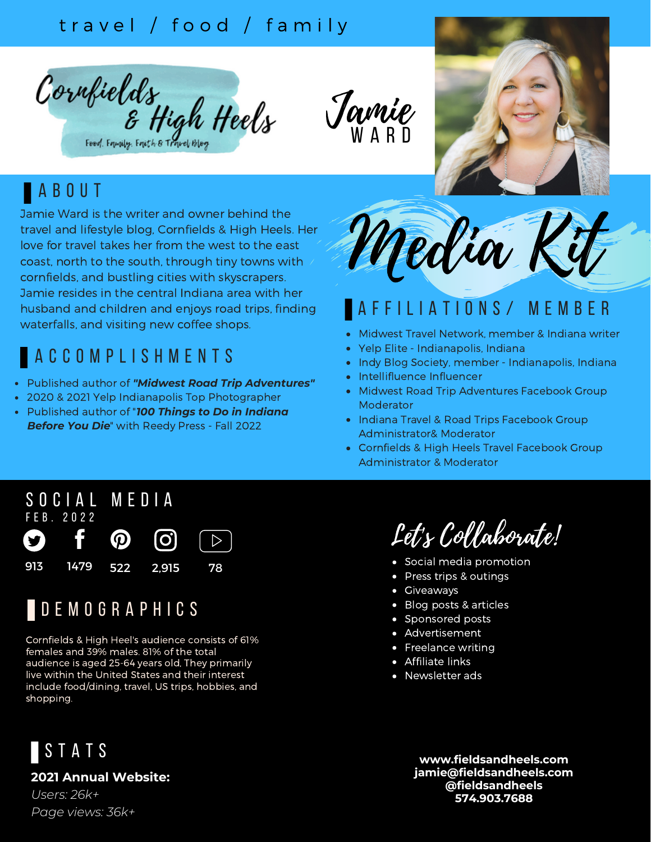#### travel / food / family



Jamie W A R D



### **ABOUT**

Jamie Ward is the writer and owner behind the travel and lifestyle blog, Cornfields & High Heels. Her love for travel takes her from the west to the east coast, north to the south, through tiny towns with cornfields, and bustling cities with skyscrapers. Jamie resides in the central Indiana area with her husband and children and enjoys road trips, finding waterfalls, and visiting new coffee shops.

# a c c o m p l i s h m e n t s

- Published author of *"Midwest Road Trip Adventures"*
- 2020 & 2021 Yelp Indianapolis Top Photographer
- Published author of "*100 Things to Do in Indiana Before You Die*" with Reedy Press - Fall 2022



## A F F I L I A T I O N S / M E M B E R

- Midwest Travel Network, member & Indiana writer
- Yelp Elite Indianapolis, Indiana
- Indy Blog Society, member Indianapolis, Indiana
- Intellifluence Influencer
- Midwest Road Trip Adventures Facebook Group Moderator
- Indiana Travel & Road Trips Facebook Group Administrator& Moderator
- Cornfields & High Heels Travel Facebook Group Administrator & Moderator

#### SOCIAL MEDIA F e b . 2 0 2 2  $\bm{\varpi}$ **O** V  $\triangleright$ 913 1479 522 2,915 78

#### D E M O G R A P H I C S

Cornfields & High Heel's audience consists of 61% females and 39% males. 81% of the total audience is aged 25-64 years old, They primarily live within the United States and their interest include food/dining, travel, US trips, hobbies, and shopping.



#### **2021 Annual Website:**

*Users: 26k+ Page views: 36k+*

Let's Collaborate!

- Social media promotion
- Press trips & outings
- Giveaways
- Blog posts & articles
- Sponsored posts
- Advertisement
- Freelance writing
- Affiliate links
- Newsletter ads

**www.fieldsandheels.com jamie@fieldsandheels.com @fieldsandheels 574.903.7688**